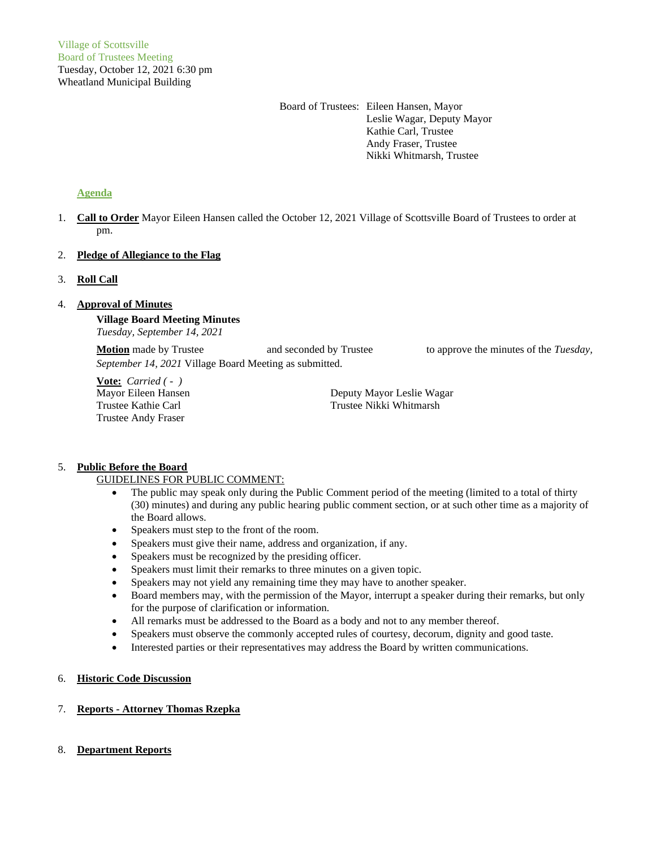Board of Trustees: Eileen Hansen, Mayor Leslie Wagar, Deputy Mayor Kathie Carl, Trustee Andy Fraser, Trustee Nikki Whitmarsh, Trustee

# **Agenda**

1. **Call to Order** Mayor Eileen Hansen called the October 12, 2021 Village of Scottsville Board of Trustees to order at pm.

# 2. **Pledge of Allegiance to the Flag**

# 3. **Roll Call**

# 4. **Approval of Minutes**

**Village Board Meeting Minutes** *Tuesday, September 14, 2021*

**Motion** made by Trustee and seconded by Trustee to approve the minutes of the *Tuesday*, *September 14, 2021* Village Board Meeting as submitted.

**Vote:** *Carried ( - )* Trustee Andy Fraser

Mayor Eileen Hansen Deputy Mayor Leslie Wagar Trustee Kathie Carl Trustee Nikki Whitmarsh

# 5. **Public Before the Board**

# GUIDELINES FOR PUBLIC COMMENT:

- The public may speak only during the Public Comment period of the meeting (limited to a total of thirty (30) minutes) and during any public hearing public comment section, or at such other time as a majority of the Board allows.
- Speakers must step to the front of the room.
- Speakers must give their name, address and organization, if any.
- Speakers must be recognized by the presiding officer.
- Speakers must limit their remarks to three minutes on a given topic.
- Speakers may not yield any remaining time they may have to another speaker.
- Board members may, with the permission of the Mayor, interrupt a speaker during their remarks, but only for the purpose of clarification or information.
- All remarks must be addressed to the Board as a body and not to any member thereof.
- Speakers must observe the commonly accepted rules of courtesy, decorum, dignity and good taste.
- Interested parties or their representatives may address the Board by written communications.

# 6. **Historic Code Discussion**

# 7. **Reports - Attorney Thomas Rzepka**

# 8. **Department Reports**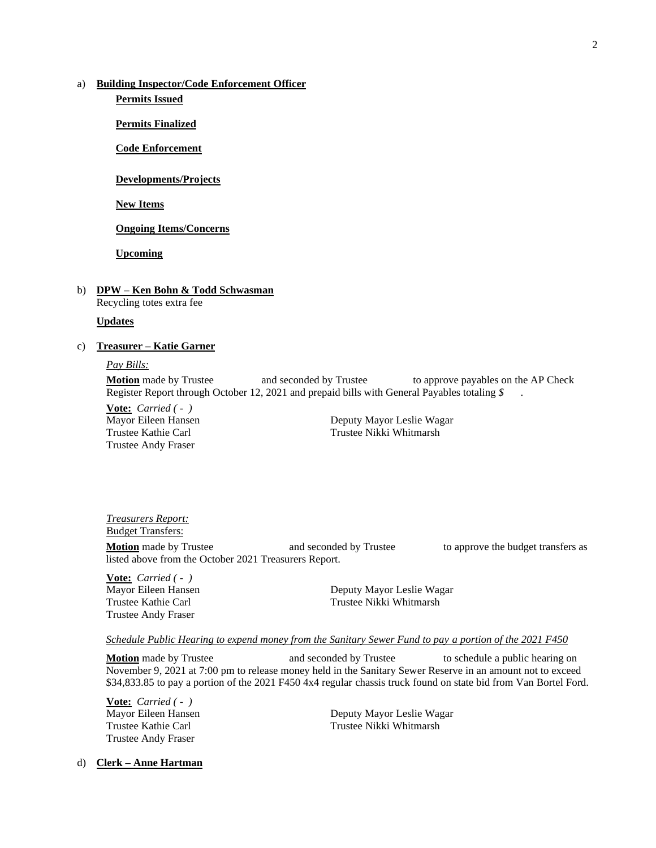# a) **Building Inspector/Code Enforcement Officer**

**Permits Issued**

**Permits Finalized**

**Code Enforcement**

**Developments/Projects**

**New Items**

**Ongoing Items/Concerns**

**Upcoming**

### b) **DPW – Ken Bohn & Todd Schwasman** Recycling totes extra fee

#### **Updates**

### c) **Treasurer – Katie Garner**

#### *Pay Bills:*

**Motion** made by Trustee and seconded by Trustee to approve payables on the AP Check Register Report through October 12, 2021 and prepaid bills with General Payables totaling *\$* .

**Vote:** *Carried ( - )* Trustee Andy Fraser

Mayor Eileen Hansen **Deputy Mayor Leslie Wagar** Trustee Kathie Carl Trustee Nikki Whitmarsh

### *Treasurers Report:* Budget Transfers:

**Motion** made by Trustee **and seconded by Trustee** to approve the budget transfers as listed above from the October 2021 Treasurers Report.

**Vote:** *Carried ( - )* Trustee Andy Fraser

Mayor Eileen Hansen **Deputy Mayor Leslie Wagar** Trustee Kathie Carl Trustee Nikki Whitmarsh

#### *Schedule Public Hearing to expend money from the Sanitary Sewer Fund to pay a portion of the 2021 F450*

**Motion** made by Trustee and seconded by Trustee to schedule a public hearing on November 9, 2021 at 7:00 pm to release money held in the Sanitary Sewer Reserve in an amount not to exceed \$34,833.85 to pay a portion of the 2021 F450 4x4 regular chassis truck found on state bid from Van Bortel Ford.

**Vote:** *Carried ( - )* Trustee Andy Fraser

Mayor Eileen Hansen Deputy Mayor Leslie Wagar Trustee Kathie Carl Trustee Nikki Whitmarsh

# d) **Clerk – Anne Hartman**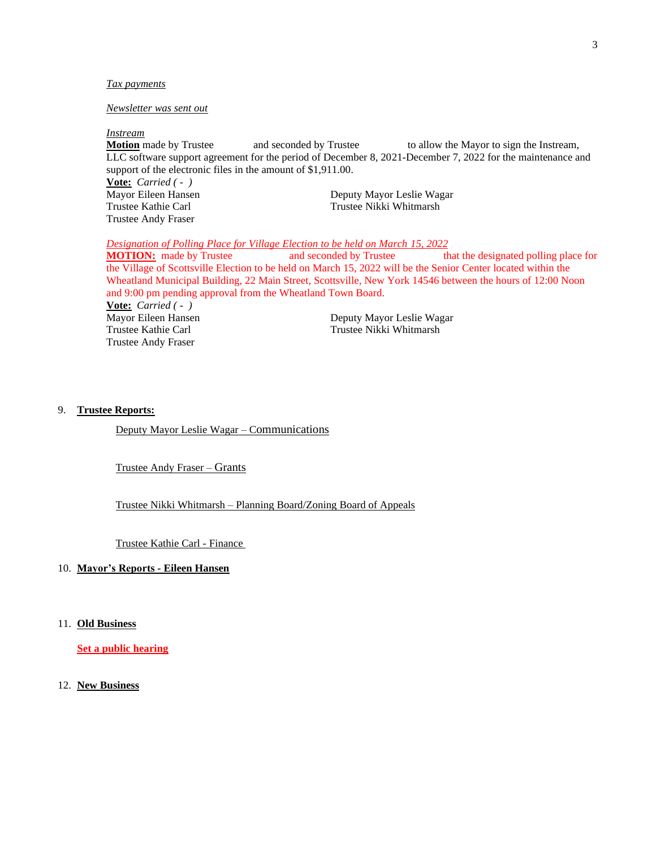#### *Tax payments*

# *Newsletter was sent out*

*Instream*

**Motion** made by Trustee and seconded by Trustee to allow the Mayor to sign the Instream, LLC software support agreement for the period of December 8, 2021-December 7, 2022 for the maintenance and support of the electronic files in the amount of \$1,911.00. **Vote:** *Carried ( - )* Mayor Eileen Hansen Deputy Mayor Leslie Wagar Trustee Kathie Carl Trustee Nikki Whitmarsh Trustee Andy Fraser

*Designation of Polling Place for Village Election to be held on March 15, 2022*

**MOTION:** made by Trustee and seconded by Trustee that the designated polling place for the Village of Scottsville Election to be held on March 15, 2022 will be the Senior Center located within the Wheatland Municipal Building, 22 Main Street, Scottsville, New York 14546 between the hours of 12:00 Noon and 9:00 pm pending approval from the Wheatland Town Board.

**Vote:** *Carried ( - )* Trustee Andy Fraser

Deputy Mayor Leslie Wagar Trustee Kathie Carl Trustee Nikki Whitmarsh

#### 9. **Trustee Reports:**

Deputy Mayor Leslie Wagar – Communications

Trustee Andy Fraser – Grants

Trustee Nikki Whitmarsh – Planning Board/Zoning Board of Appeals

Trustee Kathie Carl - Finance

# 10. **Mayor's Reports - Eileen Hansen**

11. **Old Business**

**Set a public hearing**

12. **New Business**